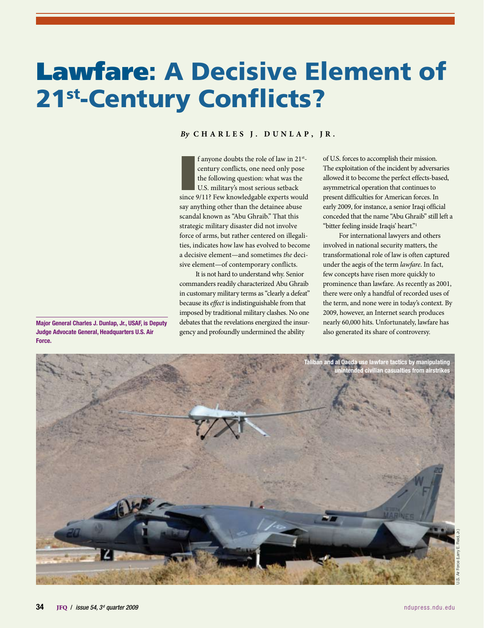# Lawfare: A Decisive Element of 21st-Century Conflicts?

# *By* **Charl e s J. Dunlap, Jr.**

f anyone doubts the role of law in 21<sup>st</sup>-century conflicts, one need only pose the following question: what was the U.S. military's most serious setback since  $9/11$ ? Few knowledgable experts would f anyone doubts the role of law in 21stcentury conflicts, one need only pose the following question: what was the U.S. military's most serious setback say anything other than the detainee abuse scandal known as "Abu Ghraib." That this strategic military disaster did not involve force of arms, but rather centered on illegalities, indicates how law has evolved to become a decisive element—and sometimes *the* decisive element—of contemporary conflicts.

It is not hard to understand why. Senior commanders readily characterized Abu Ghraib in customary military terms as "clearly a defeat" because its *effect* is indistinguishable from that imposed by traditional military clashes. No one debates that the revelations energized the insurgency and profoundly undermined the ability

of U.S. forces to accomplish their mission. The exploitation of the incident by adversaries allowed it to become the perfect effects-based, asymmetrical operation that continues to present difficulties for American forces. In early 2009, for instance, a senior Iraqi official conceded that the name "Abu Ghraib" still left a "bitter feeling inside Iraqis' heart."1

For international lawyers and others involved in national security matters, the transformational role of law is often captured under the aegis of the term *lawfare*. In fact, few concepts have risen more quickly to prominence than lawfare. As recently as 2001, there were only a handful of recorded uses of the term, and none were in today's context. By 2009, however, an Internet search produces nearly 60,000 hits. Unfortunately, lawfare has also generated its share of controversy.



Major General Charles J. Dunlap, Jr., USAF, is Deputy Judge Advocate General, Headquarters U.S. Air Force.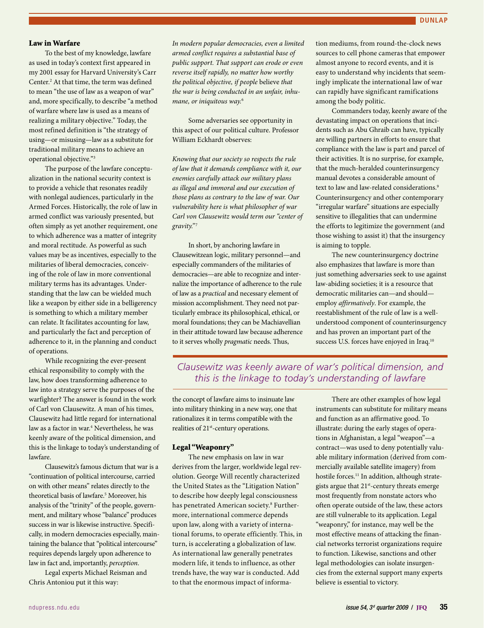#### Law in Warfare

To the best of my knowledge, lawfare as used in today's context first appeared in my 2001 essay for Harvard University's Carr Center.<sup>2</sup> At that time, the term was defined to mean "the use of law as a weapon of war" and, more specifically, to describe "a method of warfare where law is used as a means of realizing a military objective." Today, the most refined definition is "the strategy of using—or misusing—law as a substitute for traditional military means to achieve an operational objective."3

The purpose of the lawfare conceptualization in the national security context is to provide a vehicle that resonates readily with nonlegal audiences, particularly in the Armed Forces. Historically, the role of law in armed conflict was variously presented, but often simply as yet another requirement, one to which adherence was a matter of integrity and moral rectitude. As powerful as such values may be as incentives, especially to the militaries of liberal democracies, conceiving of the role of law in more conventional military terms has its advantages. Understanding that the law can be wielded much like a weapon by either side in a belligerency is something to which a military member can relate. It facilitates accounting for law, and particularly the fact and perception of adherence to it, in the planning and conduct of operations.

While recognizing the ever-present ethical responsibility to comply with the law, how does transforming adherence to law into a strategy serve the purposes of the warfighter? The answer is found in the work of Carl von Clausewitz. A man of his times, Clausewitz had little regard for international law as a factor in war.4 Nevertheless, he was keenly aware of the political dimension, and this is the linkage to today's understanding of lawfare.

Clausewitz's famous dictum that war is a "continuation of political intercourse, carried on with other means" relates directly to the theoretical basis of lawfare.<sup>5</sup> Moreover, his analysis of the "trinity" of the people, government, and military whose "balance" produces success in war is likewise instructive. Specifically, in modern democracies especially, maintaining the balance that "political intercourse" requires depends largely upon adherence to law in fact and, importantly, *perception*.

Legal experts Michael Reisman and Chris Antoniou put it this way:

*In modern popular democracies, even a limited armed conflict requires a substantial base of public support. That support can erode or even reverse itself rapidly, no matter how worthy the political objective, if people* believe *that the war is being conducted in an unfair, inhumane, or iniquitous way.*<sup>6</sup>

Some adversaries see opportunity in this aspect of our political culture. Professor William Eckhardt observes:

*Knowing that our society so respects the rule of law that it demands compliance with it, our enemies carefully attack our military plans as illegal and immoral and our execution of those plans as contrary to the law of war. Our vulnerability here is what philosopher of war Carl von Clausewitz would term our "center of gravity."* <sup>7</sup>

In short, by anchoring lawfare in Clausewitzean logic, military personnel—and especially commanders of the militaries of democracies—are able to recognize and internalize the importance of adherence to the rule of law as a *practical* and necessary element of mission accomplishment. They need not particularly embrace its philosophical, ethical, or moral foundations; they can be Machiavellian in their attitude toward law because adherence to it serves wholly *pragmatic* needs. Thus,

tion mediums, from round-the-clock news sources to cell phone cameras that empower almost anyone to record events, and it is easy to understand why incidents that seemingly implicate the international law of war can rapidly have significant ramifications among the body politic.

Commanders today, keenly aware of the devastating impact on operations that incidents such as Abu Ghraib can have, typically are willing partners in efforts to ensure that compliance with the law is part and parcel of their activities. It is no surprise, for example, that the much-heralded counterinsurgency manual devotes a considerable amount of text to law and law-related considerations.<sup>9</sup> Counterinsurgency and other contemporary "irregular warfare" situations are especially sensitive to illegalities that can undermine the efforts to legitimize the government (and those wishing to assist it) that the insurgency is aiming to topple.

The new counterinsurgency doctrine also emphasizes that lawfare is more than just something adversaries seek to use against law-abiding societies; it is a resource that democratic militaries can—and should employ *affirmatively*. For example, the reestablishment of the rule of law is a wellunderstood component of counterinsurgency and has proven an important part of the success U.S. forces have enjoyed in Iraq.<sup>10</sup>

# *Clausewitz was keenly aware of war's political dimension, and this is the linkage to today's understanding of lawfare*

the concept of lawfare aims to insinuate law into military thinking in a new way, one that rationalizes it in terms compatible with the realities of 21<sup>st</sup>-century operations.

#### Legal "Weaponry"

The new emphasis on law in war derives from the larger, worldwide legal revolution. George Will recently characterized the United States as the "Litigation Nation" to describe how deeply legal consciousness has penetrated American society.<sup>8</sup> Furthermore, international commerce depends upon law, along with a variety of international forums, to operate efficiently. This, in turn, is accelerating a globalization of law. As international law generally penetrates modern life, it tends to influence, as other trends have, the way war is conducted. Add to that the enormous impact of informa-

There are other examples of how legal instruments can substitute for military means and function as an affirmative good. To illustrate: during the early stages of operations in Afghanistan, a legal "weapon"—a contract—was used to deny potentially valuable military information (derived from commercially available satellite imagery) from hostile forces.<sup>11</sup> In addition, although strategists argue that 21<sup>st</sup>-century threats emerge most frequently from nonstate actors who often operate outside of the law, these actors are still vulnerable to its application. Legal "weaponry," for instance, may well be the most effective means of attacking the financial networks terrorist organizations require to function. Likewise, sanctions and other legal methodologies can isolate insurgencies from the external support many experts believe is essential to victory.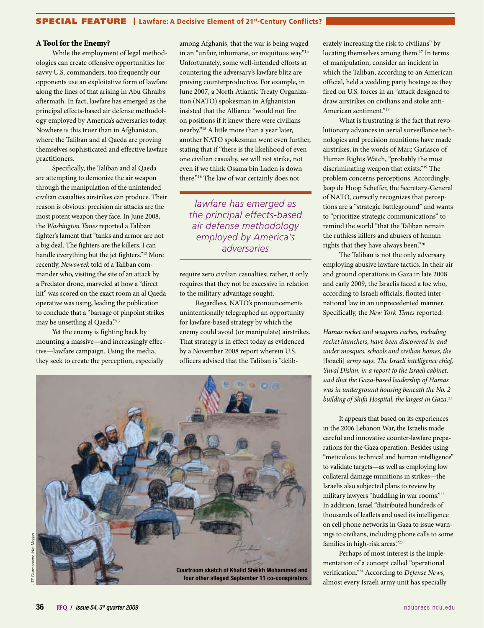### SPECIAL FEATURE | Lawfare: A Decisive Element of 21st-Century Conflicts?

#### A Tool for the Enemy?

While the employment of legal methodologies can create offensive opportunities for savvy U.S. commanders, too frequently our opponents use an exploitative form of lawfare along the lines of that arising in Abu Ghraib's aftermath. In fact, lawfare has emerged as the principal effects-based air defense methodology employed by America's adversaries today. Nowhere is this truer than in Afghanistan, where the Taliban and al Qaeda are proving themselves sophisticated and effective lawfare practitioners.

Specifically, the Taliban and al Qaeda are attempting to demonize the air weapon through the manipulation of the unintended civilian casualties airstrikes can produce. Their reason is obvious: precision air attacks are the most potent weapon they face. In June 2008, the *Washington Times* reported a Taliban fighter's lament that "tanks and armor are not a big deal. The fighters are the killers. I can handle everything but the jet fighters."12 More recently, *Newsweek* told of a Taliban commander who, visiting the site of an attack by a Predator drone, marveled at how a "direct hit" was scored on the exact room an al Qaeda operative was using, leading the publication to conclude that a "barrage of pinpoint strikes may be unsettling al Qaeda."13

Yet the enemy is fighting back by mounting a massive—and increasingly effective—lawfare campaign. Using the media, they seek to create the perception, especially

among Afghanis, that the war is being waged in an "unfair, inhumane, or iniquitous way."14 Unfortunately, some well-intended efforts at countering the adversary's lawfare blitz are proving counterproductive. For example, in June 2007, a North Atlantic Treaty Organization (NATO) spokesman in Afghanistan insisted that the Alliance "would not fire on positions if it knew there were civilians nearby."15 A little more than a year later, another NATO spokesman went even further, stating that if "there is the likelihood of even one civilian casualty, we will not strike, not even if we think Osama bin Laden is down there."16 The law of war certainly does not

*lawfare has emerged as the principal effects-based air defense methodology employed by America's adversaries*

require zero civilian casualties; rather, it only requires that they not be excessive in relation to the military advantage sought.

Regardless, NATO's pronouncements unintentionally telegraphed an opportunity for lawfare-based strategy by which the enemy could avoid (or manipulate) airstrikes. That strategy is in effect today as evidenced by a November 2008 report wherein U.S. officers advised that the Taliban is "delib-



erately increasing the risk to civilians" by locating themselves among them.<sup>17</sup> In terms of manipulation, consider an incident in which the Taliban, according to an American official, held a wedding party hostage as they fired on U.S. forces in an "attack designed to draw airstrikes on civilians and stoke anti-American sentiment."<sup>18</sup>

What is frustrating is the fact that revolutionary advances in aerial surveillance technologies and precision munitions have made airstrikes, in the words of Marc Garlasco of Human Rights Watch, "probably the most discriminating weapon that exists."19 The problem concerns perceptions. Accordingly, Jaap de Hoop Scheffer, the Secretary-General of NATO, correctly recognizes that perceptions are a "strategic battleground" and wants to "prioritize strategic communications" to remind the world "that the Taliban remain the ruthless killers and abusers of human rights that they have always been."20

The Taliban is not the only adversary employing abusive lawfare tactics. In their air and ground operations in Gaza in late 2008 and early 2009, the Israelis faced a foe who, according to Israeli officials, flouted international law in an unprecedented manner. Specifically, the *New York Times* reported:

*Hamas rocket and weapons caches, including rocket launchers, have been discovered in and under mosques, schools and civilian homes, the*  [Israeli] *army says. The Israeli intelligence chief, Yuval Diskin, in a report to the Israeli cabinet, said that the Gaza-based leadership of Hamas was in underground housing beneath the No. 2 building of Shifa Hospital, the largest in Gaza.*<sup>21</sup>

It appears that based on its experiences in the 2006 Lebanon War, the Israelis made careful and innovative counter-lawfare preparations for the Gaza operation. Besides using "meticulous technical and human intelligence" to validate targets—as well as employing low collateral damage munitions in strikes—the Israelis also subjected plans to review by military lawyers "huddling in war rooms."22 In addition, Israel "distributed hundreds of thousands of leaflets and used its intelligence on cell phone networks in Gaza to issue warnings to civilians, including phone calls to some families in high-risk areas."23

Perhaps of most interest is the implementation of a concept called "operational verification."24 According to *Defense News*, almost every Israeli army unit has specially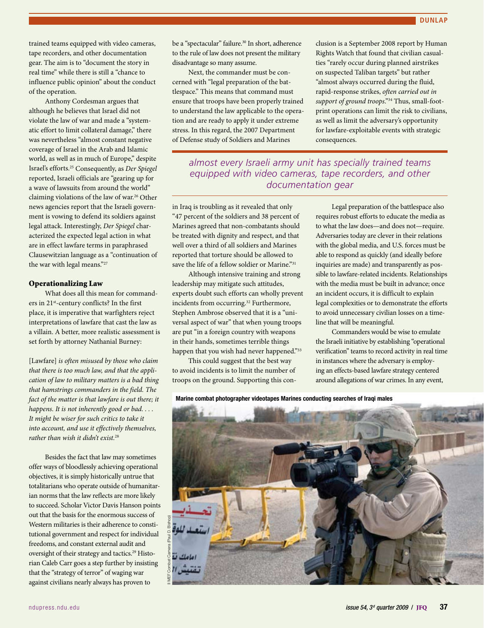trained teams equipped with video cameras, tape recorders, and other documentation gear. The aim is to "document the story in real time" while there is still a "chance to influence public opinion" about the conduct of the operation.

Anthony Cordesman argues that although he believes that Israel did not violate the law of war and made a "systematic effort to limit collateral damage," there was nevertheless "almost constant negative coverage of Israel in the Arab and Islamic world, as well as in much of Europe," despite Israel's efforts.25 Consequently, as *Der Spiegel* reported, Israeli officials are "gearing up for a wave of lawsuits from around the world" claiming violations of the law of war.<sup>26</sup> Other news agencies report that the Israeli government is vowing to defend its soldiers against legal attack. Interestingly, *Der Spiegel* characterized the expected legal action in what are in effect lawfare terms in paraphrased Clausewitzian language as a "continuation of the war with legal means."27

#### Operationalizing Law

What does all this mean for commanders in 21st-century conflicts? In the first place, it is imperative that warfighters reject interpretations of lawfare that cast the law as a villain. A better, more realistic assessment is set forth by attorney Nathanial Burney:

[Lawfare] *is often misused by those who claim that there is too much law, and that the application of law to military matters is a bad thing that hamstrings commanders in the field. The fact of the matter is that lawfare is out there; it happens. It is not inherently good or bad. . . . It might be wiser for such critics to take it into account, and use it effectively themselves, rather than wish it didn't exist.*<sup>28</sup>

Besides the fact that law may sometimes offer ways of bloodlessly achieving operational objectives, it is simply historically untrue that totalitarians who operate outside of humanitarian norms that the law reflects are more likely to succeed. Scholar Victor Davis Hanson points out that the basis for the enormous success of Western militaries is their adherence to constitutional government and respect for individual freedoms, and constant external audit and oversight of their strategy and tactics.<sup>29</sup> Historian Caleb Carr goes a step further by insisting that the "strategy of terror" of waging war against civilians nearly always has proven to

be a "spectacular" failure.<sup>30</sup> In short, adherence to the rule of law does not present the military disadvantage so many assume.

Next, the commander must be concerned with "legal preparation of the battlespace." This means that command must ensure that troops have been properly trained to understand the law applicable to the operation and are ready to apply it under extreme stress. In this regard, the 2007 Department of Defense study of Soldiers and Marines

clusion is a September 2008 report by Human Rights Watch that found that civilian casualties "rarely occur during planned airstrikes on suspected Taliban targets" but rather "almost always occurred during the fluid, rapid-response strikes, *often carried out in support of ground troops*."34 Thus, small-footprint operations can limit the risk to civilians, as well as limit the adversary's opportunity for lawfare-exploitable events with strategic consequences.

*almost every Israeli army unit has specially trained teams equipped with video cameras, tape recorders, and other documentation gear*

in Iraq is troubling as it revealed that only "47 percent of the soldiers and 38 percent of Marines agreed that non-combatants should be treated with dignity and respect, and that well over a third of all soldiers and Marines reported that torture should be allowed to save the life of a fellow soldier or Marine."<sup>31</sup>

Although intensive training and strong leadership may mitigate such attitudes, experts doubt such efforts can wholly prevent incidents from occurring.<sup>32</sup> Furthermore, Stephen Ambrose observed that it is a "universal aspect of war" that when young troops are put "in a foreign country with weapons in their hands, sometimes terrible things happen that you wish had never happened."<sup>33</sup>

This could suggest that the best way to avoid incidents is to limit the number of troops on the ground. Supporting this con-

Legal preparation of the battlespace also requires robust efforts to educate the media as to what the law does—and does not—require. Adversaries today are clever in their relations with the global media, and U.S. forces must be able to respond as quickly (and ideally before inquiries are made) and transparently as possible to lawfare-related incidents. Relationships with the media must be built in advance; once an incident occurs, it is difficult to explain legal complexities or to demonstrate the efforts to avoid unnecessary civilian losses on a timeline that will be meaningful.

Commanders would be wise to emulate the Israeli initiative by establishing "operational verification" teams to record activity in real time in instances where the adversary is employing an effects-based lawfare strategy centered around allegations of war crimes. In any event,

Marine combat photographer videotapes Marines conducting searches of Iraqi males

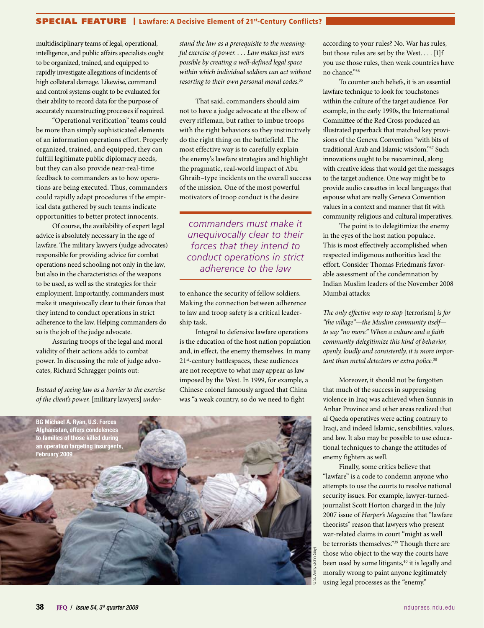## SPECIAL FEATURE | Lawfare: A Decisive Element of 21st-Century Conflicts?

multidisciplinary teams of legal, operational, intelligence, and public affairs specialists ought to be organized, trained, and equipped to rapidly investigate allegations of incidents of high collateral damage. Likewise, command and control systems ought to be evaluated for their ability to record data for the purpose of accurately reconstructing processes if required.

"Operational verification" teams could be more than simply sophisticated elements of an information operations effort. Properly organized, trained, and equipped, they can fulfill legitimate public diplomacy needs, but they can also provide near-real-time feedback to commanders as to how operations are being executed. Thus, commanders could rapidly adapt procedures if the empirical data gathered by such teams indicate opportunities to better protect innocents.

Of course, the availability of expert legal advice is absolutely necessary in the age of lawfare. The military lawyers (judge advocates) responsible for providing advice for combat operations need schooling not only in the law, but also in the characteristics of the weapons to be used, as well as the strategies for their employment. Importantly, commanders must make it unequivocally clear to their forces that they intend to conduct operations in strict adherence to the law. Helping commanders do so is the job of the judge advocate.

Assuring troops of the legal and moral validity of their actions adds to combat power. In discussing the role of judge advocates, Richard Schragger points out:

*Instead of seeing law as a barrier to the exercise of the client's power,* [military lawyers] *under-*

*stand the law as a prerequisite to the meaningful exercise of power. . . . Law makes just wars possible by creating a well-defined legal space within which individual soldiers can act without resorting to their own personal moral codes.*<sup>35</sup>

That said, commanders should aim not to have a judge advocate at the elbow of every rifleman, but rather to imbue troops with the right behaviors so they instinctively do the right thing on the battlefield. The most effective way is to carefully explain the enemy's lawfare strategies and highlight the pragmatic, real-world impact of Abu Ghraib–type incidents on the overall success of the mission. One of the most powerful motivators of troop conduct is the desire

*commanders must make it unequivocally clear to their forces that they intend to conduct operations in strict adherence to the law*

to enhance the security of fellow soldiers. Making the connection between adherence to law and troop safety is a critical leadership task.

Integral to defensive lawfare operations is the education of the host nation population and, in effect, the enemy themselves. In many 21<sup>st</sup>-century battlespaces, these audiences are not receptive to what may appear as law imposed by the West. In 1999, for example, a Chinese colonel famously argued that China was "a weak country, so do we need to fight



according to your rules? No. War has rules, but those rules are set by the West. . . . [I]f you use those rules, then weak countries have no chance."36

To counter such beliefs, it is an essential lawfare technique to look for touchstones within the culture of the target audience. For example, in the early 1990s, the International Committee of the Red Cross produced an illustrated paperback that matched key provisions of the Geneva Convention "with bits of traditional Arab and Islamic wisdom."37 Such innovations ought to be reexamined, along with creative ideas that would get the messages to the target audience. One way might be to provide audio cassettes in local languages that espouse what are really Geneva Convention values in a context and manner that fit with community religious and cultural imperatives.

The point is to delegitimize the enemy in the eyes of the host nation populace. This is most effectively accomplished when respected indigenous authorities lead the effort. Consider Thomas Friedman's favorable assessment of the condemnation by Indian Muslim leaders of the November 2008 Mumbai attacks:

*The only effective way to stop* [terrorism] *is for "the village"—the Muslim community itself to say "no more." When a culture and a faith community delegitimize this kind of behavior, openly, loudly and consistently, it is more important than metal detectors or extra police.*<sup>38</sup>

Moreover, it should not be forgotten that much of the success in suppressing violence in Iraq was achieved when Sunnis in Anbar Province and other areas realized that al Qaeda operatives were acting contrary to Iraqi, and indeed Islamic, sensibilities, values, and law. It also may be possible to use educational techniques to change the attitudes of enemy fighters as well.

Finally, some critics believe that "lawfare" is a code to condemn anyone who attempts to use the courts to resolve national security issues. For example, lawyer-turnedjournalist Scott Horton charged in the July 2007 issue of *Harper's Magazine* that "lawfare theorists" reason that lawyers who present war-related claims in court "might as well be terrorists themselves."<sup>39</sup> Though there are those who object to the way the courts have been used by some litigants,<sup>40</sup> it is legally and morally wrong to paint anyone legitimately using legal processes as the "enemy."